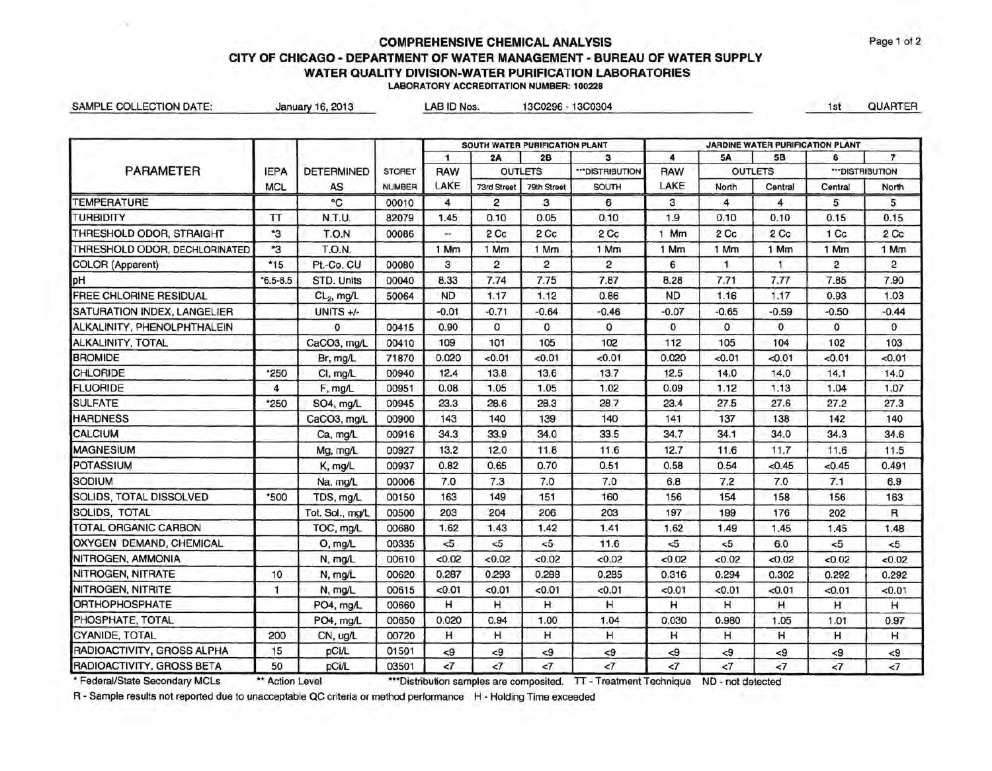| <b>SAMPLE COLLECTION DATE:</b> |                | January 16, 2013  |               | LAB ID Nos.  |                                | 13C0296 - 13C0304 |                  |              |                                  |           | 1st           | QUARTER        |  |  |
|--------------------------------|----------------|-------------------|---------------|--------------|--------------------------------|-------------------|------------------|--------------|----------------------------------|-----------|---------------|----------------|--|--|
|                                |                |                   |               |              | SOUTH WATER PURIFICATION PLANT |                   |                  |              | JARDINE WATER PURIFICATION PLANT |           |               |                |  |  |
|                                |                |                   |               | $\mathbf{1}$ | 2A                             | 2B                | 3                | 4            | <b>5A</b>                        | 5B        | 6             | $\overline{ }$ |  |  |
| <b>PARAMETER</b>               | <b>IEPA</b>    | <b>DETERMINED</b> | <b>STORET</b> | <b>RAW</b>   | <b>OUTLETS</b>                 |                   | *** DISTRIBUTION | <b>RAW</b>   | <b>OUTLETS</b>                   |           | "DISTRIBUTION |                |  |  |
|                                | <b>MCL</b>     | AS                | <b>NUMBER</b> | LAKE         | 73rd Street                    | 79th Street       | <b>SOUTH</b>     | LAKE         | North                            | Central   | Central       | North          |  |  |
| <b>TEMPERATURE</b>             |                | °C                | 00010         | 4            | $\overline{c}$                 | 3                 | 6                | 3            | 4                                | 4         | 5             | 5              |  |  |
| <b>TURBIDITY</b>               | $\pi$          | N.T.U.            | 82079         | 1.45         | 0.10                           | 0.05              | 0.10             | 1.9          | 0.10                             | 0.10      | 0.15          | 0.15           |  |  |
| THRESHOLD ODOR, STRAIGHT       | *3             | T.O.N             | 00086         | ÷            | 2 Cc                           | 2 Cc              | 2 Cc             | 1 Mm         | 2 Cc                             | 2 Cc      | 1 Cc          | 2 Cc           |  |  |
| THRESHOLD ODOR, DECHLORINATED  | *3             | T.O.N.            |               | 1 Mm         | 1 Mm                           | 1 Mm              | 1 Mm             | 1 Mm         | 1 Mm                             | 1 Mm      | 1 Mm          | 1 Mm           |  |  |
| COLOR (Apparent)               | *15            | Pt.-Co. CU        | 00080         | 3            | $\overline{2}$                 | $\overline{2}$    | $\overline{c}$   | 6            | 1                                | T.        | 2             | 2              |  |  |
| þН                             | $*6.5 - 8.5$   | STD. Units        | 00040         | 8.33         | 7.74                           | 7.75              | 7.87             | 8.28         | 7.71                             | 7.77      | 7.85          | 7.90           |  |  |
| FREE CHLORINE RESIDUAL         |                | $CL2$ , mg/L      | 50064         | <b>ND</b>    | 1.17                           | 1.12              | 0.86             | <b>ND</b>    | 1.16                             | 1.17      | 0.93          | 1.03           |  |  |
| SATURATION INDEX, LANGELIER    |                | UNITS $+/-$       |               | $-0.01$      | $-0.71$                        | $-0.64$           | $-0.46$          | $-0.07$      | $-0.65$                          | $-0.59$   | $-0.50$       | $-0.44$        |  |  |
| ALKALINITY, PHENOLPHTHALEIN    |                | 0                 | 00415         | 0.90         | $\Omega$                       | $\mathbf 0$       | $\Omega$         | $\mathbf{0}$ | $\mathbf{0}$                     | 0         | $\mathbf{0}$  | $\mathbf{0}$   |  |  |
| ALKALINITY, TOTAL              |                | CaCO3, mg/L       | 00410         | 109          | 101                            | 105               | 102              | 112          | 105                              | 104       | 102           | 103            |  |  |
| <b>BROMIDE</b>                 |                | Br, mg/L          | 71870         | 0.020        | <0.01                          | < 0.01            | 0.01             | 0.020        | < 0.01                           | < 0.01    | < 0.01        | < 0.01         |  |  |
| <b>CHLORIDE</b>                | *250           | CI, mg/L          | 00940         | 12.4         | 13.8                           | 13.6              | 13.7             | 12.5         | 14.0                             | 14.0      | 14.1          | 14.0           |  |  |
| <b>FLUORIDE</b>                | $\overline{4}$ | F, mg/L           | 00951         | 0.08         | 1.05                           | 1.05              | 1.02             | 0.09         | 1.12                             | 1.13      | 1.04          | 1.07           |  |  |
| <b>SULFATE</b>                 | *250           | SO4, mg/L         | 00945         | 23.3         | 28.6                           | 28.3              | 28.7             | 23.4         | 27.5                             | 27.6      | 27.2          | 27.3           |  |  |
| <b>HARDNESS</b>                |                | CaCO3, mg/L       | 00900         | 143          | 140                            | 139               | 140              | 141          | 137                              | 138       | 142           | 140            |  |  |
| <b>CALCIUM</b>                 |                | Ca, mg/L          | 00916         | 34.3         | 33.9                           | 34.0              | 33.5             | 34.7         | 34.1                             | 34.0      | 34.3          | 34.6           |  |  |
| <b>MAGNESIUM</b>               |                | Mg, mg/L          | 00927         | 13.2         | 12.0                           | 11.8              | 11.6             | 12.7         | 11.6                             | 11.7      | 11.6          | 11.5           |  |  |
| <b>POTASSIUM</b>               |                | K, mg/L           | 00937         | 0.82         | 0.65                           | 0.70              | 0.51             | 0.58         | 0.54                             | < 0.45    | < 0.45        | 0.491          |  |  |
| SODIUM                         |                | Na, mg/L          | 00006         | 7.0          | 7.3                            | 7.0               | 7.0              | 6.8          | 7.2                              | 7.0       | 7.1           | 6.9            |  |  |
| SOLIDS, TOTAL DISSOLVED        | *500           | TDS, mg/L         | 00150         | 163          | 149                            | 151               | 160              | 156          | 154                              | 158       | 156           | 163            |  |  |
| SOLIDS, TOTAL                  |                | Tot. Sol., mg/L   | 00500         | 203          | 204                            | 206               | 203              | 197          | 199                              | 176       | 202           | R              |  |  |
| TOTAL ORGANIC CARBON           |                | TOC, mg/L         | 00680         | 1.62         | 1.43                           | 1.42              | 1.41             | 1.62         | 1.49                             | 1.45      | 1.45          | 1.48           |  |  |
| OXYGEN DEMAND, CHEMICAL        |                | O, mg/L           | 00335         | $\leq$       | 5<                             | < 5               | 11.6             | $5 -$        | $5 -$                            | 6.0       | < 5           | $<$ 5          |  |  |
| NITROGEN, AMMONIA              |                | N, mg/L           | 00610         | <0.02        | < 0.02                         | < 0.02            | <0.02            | < 0.02       | < 0.02                           | < 0.02    | <0.02         | < 0.02         |  |  |
| NITROGEN, NITRATE              | 10             | N, mg/L           | 00620         | 0.287        | 0.293                          | 0.288             | 0.285            | 0.316        | 0.294                            | 0.302     | 0.292         | 0.292          |  |  |
| NITROGEN, NITRITE              | 1              | N, mg/L           | 00615         | < 0.01       | < 0.01                         | < 0.01            | < 0.01           | < 0.01       | < 0.01                           | < 0.01    | < 0.01        | < 0.01         |  |  |
| <b>ORTHOPHOSPHATE</b>          |                | PO4, mg/L         | 00660         | н            | н                              | H                 | н                | н            | н                                | н         | н             | н              |  |  |
| PHOSPHATE, TOTAL               |                | PO4, mg/L         | 00650         | 0.020        | 0.94                           | 1.00              | 1.04             | 0.030        | 0.980                            | 1.05      | 1.01          | 0.97           |  |  |
| <b>CYANIDE, TOTAL</b>          | 200            | CN, ug/L          | 00720         | н            | н                              | н                 | н                | н            | н                                | н         | н             | н              |  |  |
| RADIOACTIVITY, GROSS ALPHA     | 15             | pCi/L             | 01501         | $\leq 9$     | <9                             | $\leq 9$          | $\leq 9$         | $\leq 9$     | $\leq 9$                         | $\leq 9$  | $\leq 9$      | $\leq 9$       |  |  |
| RADIOACTIVITY, GROSS BETA      | 50             | pCi/L             | 03501         | $\leq$ 7     | $\leq 7$                       | $\leq$ 7          | $\leq$ 7         | $\leq 7$     | $\leq 7$                         | $\prec$ 7 | $\leq$ 7      | $\leq$         |  |  |

\*Federal/State Secondary MCLs \*\*\*Action Level \*\*\*\*Distribution samples are composited. TT - Treatment Technique ND - not detected

R - Sample results not reported due to unacceptable QC criteria or method performance H - Holding Time exceeded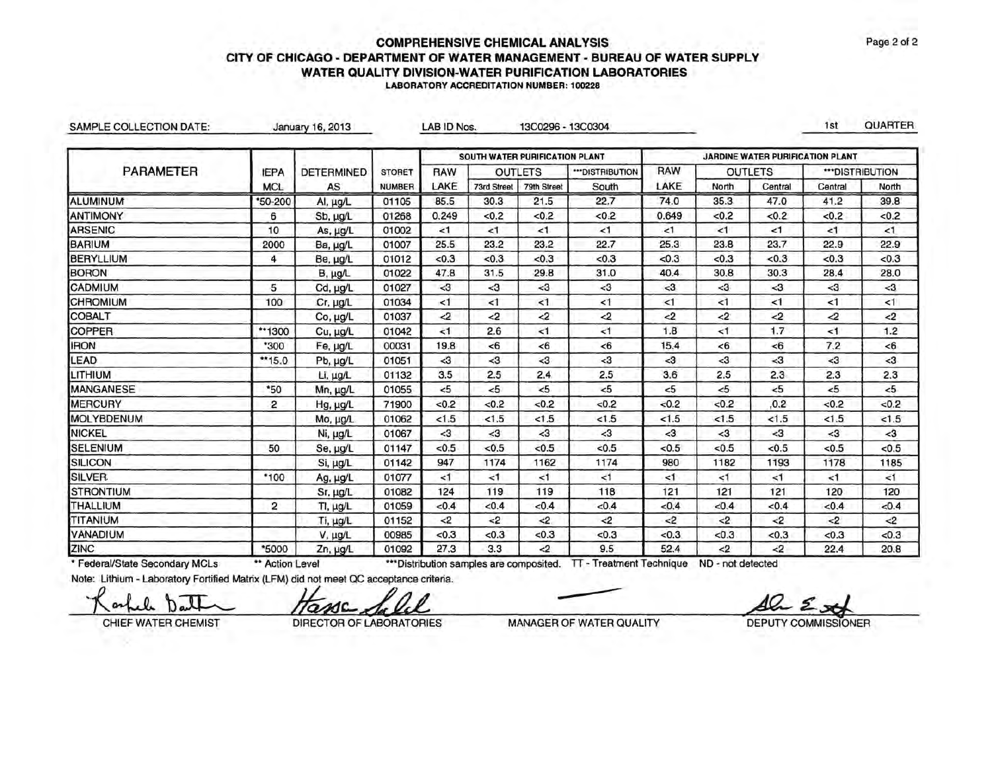| SAMPLE COLLECTION DATE:        |                 | January 16, 2013  |               | LAB ID Nos. |                                | 13C0296 - 13C0304 |                                                                   |            |                   |                | 1st                              | QUARTER          |
|--------------------------------|-----------------|-------------------|---------------|-------------|--------------------------------|-------------------|-------------------------------------------------------------------|------------|-------------------|----------------|----------------------------------|------------------|
|                                |                 |                   |               |             | SOUTH WATER PURIFICATION PLANT |                   |                                                                   |            |                   |                | JARDINE WATER PURIFICATION PLANT |                  |
| <b>PARAMETER</b>               | <b>IEPA</b>     | <b>DETERMINED</b> | <b>STORET</b> | <b>RAW</b>  |                                | <b>OUTLETS</b>    | **DISTRIBUTION                                                    | <b>RAW</b> |                   | <b>OUTLETS</b> |                                  | *** DISTRIBUTION |
|                                | <b>MCL</b>      | AS                | <b>NUMBER</b> | LAKE        | 73rd Street                    | 79th Street       | South                                                             | LAKE       | North             | Central        | Central                          | North            |
| <b>ALUMINUM</b>                | *50-200         | Al, µg/L          | 01105         | 85.5        | 30.3                           | 21.5              | 22.7                                                              | 74.0       | 35.3              | 47.0           | 41.2                             | 39.8             |
| <b>ANTIMONY</b>                | 6               | Sb, µg/L          | 01268         | 0.249       | < 0.2                          | < 0.2             | <0.2                                                              | 0.649      | <0.2              | <0.2           | < 0.2                            | <0.2             |
| <b>ARSENIC</b>                 | 10              | As, µg/L          | 01002         | $\leq 1$    | <1                             | $\leq 1$          | $\leq$                                                            | < 1        | <1                | $\leq$ 1       | <1                               | <1               |
| <b>BARIUM</b>                  | 2000            | Ba, µg/L          | 01007         | 25.5        | 23.2                           | 23.2              | 22.7                                                              | 25.3       | 23.8              | 23.7           | 22.9                             | 22.9             |
| <b>BERYLLIUM</b>               | 4               | Be, µg/L          | 01012         | < 0.3       | <0.3                           | < 0.3             | <0.3                                                              | < 0.3      | < 0.3             | < 0.3          | < 0.3                            | <0.3             |
| <b>BORON</b>                   |                 | $B, \mu g/L$      | 01022         | 47.8        | 31.5                           | 29.8              | 31.0                                                              | 40.4       | 30.8              | 30.3           | 28.4                             | 28.0             |
| CADMIUM                        | 5               | Cd, µg/L          | 01027         | $\leq$ 3    | $3$                            | <3                | $3$                                                               | <3         | $3$               | $3$            | $3$                              | $3$              |
| CHROMIUM                       | 100             | Cr, µg/L          | 01034         | $\leq$ 1    | $\leq$ 1                       | <1                | $\leq$ 1                                                          | $\leq$ 1   | <1                | lt1            | $\leq$                           | <1               |
| <b>COBALT</b>                  |                 | Co, µg/L          | 01037         | $\leq$      | <2                             | <2                | -2                                                                | $2$        | $\leq$            | $\leq$         | $\mathbf{<}2$                    | $2$              |
| <b>COPPER</b>                  | **1300          | Cu, µg/L          | 01042         | <1          | 2.6                            | $\leq$ 1          | -1                                                                | 1.8        | $\leq 1$          | 1.7            | $\leq 1$                         | 1.2              |
| <b>IRON</b>                    | $*300$          | Fe, µg/L          | 00031         | 19.8        | <6                             | <6                | <6                                                                | 15.4       | <6                | <6             | 7.2                              | <6               |
| LEAD                           | ** 15.0         | Pb, µg/L          | 01051         | $3$         | $3$                            | <3                | $3$                                                               | $3$        | <3                | <3             | $3$                              | <3               |
| LITHIUM                        |                 | Li, µg/L          | 01132         | 3.5         | 2.5                            | 2.4               | 2.5                                                               | 3.6        | 2.5               | 2.3            | 2.3                              | 2.3              |
| <b>MANGANESE</b>               | *50             | Mn, µg/L          | 01055         | 5<          | < 5                            | < 5               | <5                                                                | $5 -$      | $<$ 5             | 5              | $5 -$                            | $5 -$            |
| <b>MERCURY</b>                 | 2               | Hg, µg/L          | 71900         | < 0.2       | < 0.2                          | < 0.2             | < 0.2                                                             | <0.2       | <0.2              | , 0.2          | <0.2                             | < 0.2            |
| <b>MOLYBDENUM</b>              |                 | Mo, µg/L          | 01062         | 1.5         | 1.5                            | < 1.5             | 1.5                                                               | 1.5        | < 1.5             | 1.5            | 1.5                              | < 1.5            |
| <b>NICKEL</b>                  |                 | Ni, µg/L          | 01067         | $3$         | $3$                            | <3                | $3$                                                               | $3$        | <3                | $3$            | $3$                              | $3$              |
| <b>SELENIUM</b>                | 50              | Se, µg/L          | 01147         | < 0.5       | < 0.5                          | < 0.5             | < 0.5                                                             | < 0.5      | <0.5              | < 0.5          | < 0.5                            | < 0.5            |
| <b>SILICON</b>                 |                 | Si, µg/L          | 01142         | 947         | 1174                           | 1162              | 1174                                                              | 980        | 1182              | 1193           | 1178                             | 1185             |
| <b>SILVER</b>                  | $*100$          | Ag, µg/L          | 01077         | <1          | <1                             | <1                | $\leq 1$                                                          | <1         | < 1               | $\leq 1$       | <1                               | <1               |
| <b>STRONTIUM</b>               |                 | Sr, µg/L          | 01082         | 124         | 119                            | 119               | 118                                                               | 121        | 121               | 121            | 120                              | 120              |
| <b>THALLIUM</b>                | $\overline{2}$  | $Tl$ , $\mu g/L$  | 01059         | < 0.4       | < 0.4                          | < 0.4             | < 0.4                                                             | < 0.4      | < 0.4             | < 0.4          | < 0.4                            | <0.4             |
| TITANIUM                       |                 | Ti, µg/L          | 01152         | <2          | $2$                            | $\leq$            | $\langle$ 2                                                       | $2$        | <2                | $\leq$         | $\langle 2 \rangle$              | $\leq$           |
| VANADIUM                       |                 | $V, \mu g/L$      | 00985         | < 0.3       | < 0.3                          | < 0.3             | < 0.3                                                             | < 0.3      | < 0.3             | <0.3           | < 0.3                            | < 0.3            |
| ZINC                           | *5000           | Zn, µg/L          | 01092         | 27.3        | 3.3                            | $\leq$            | 9.5                                                               | 52.4       | $2$               | $\leq$         | 22.4                             | 20.8             |
| * Federal/State Secondary MCLs | ** Action Level |                   |               |             |                                |                   | *** Distribution samples are composited. TT - Treatment Technique |            | ND - not detected |                |                                  |                  |

Note: Lithium - Laboratory Fortified Matrix (LFM) did not meet QC acceptance criteria.

Kartel Datte Hasse Solel

CHIEF WATER CHEMIST DIRECTOR OF LABORATORIES MANAGER OF WATER QUALITY DEPUTY COMMISSIONER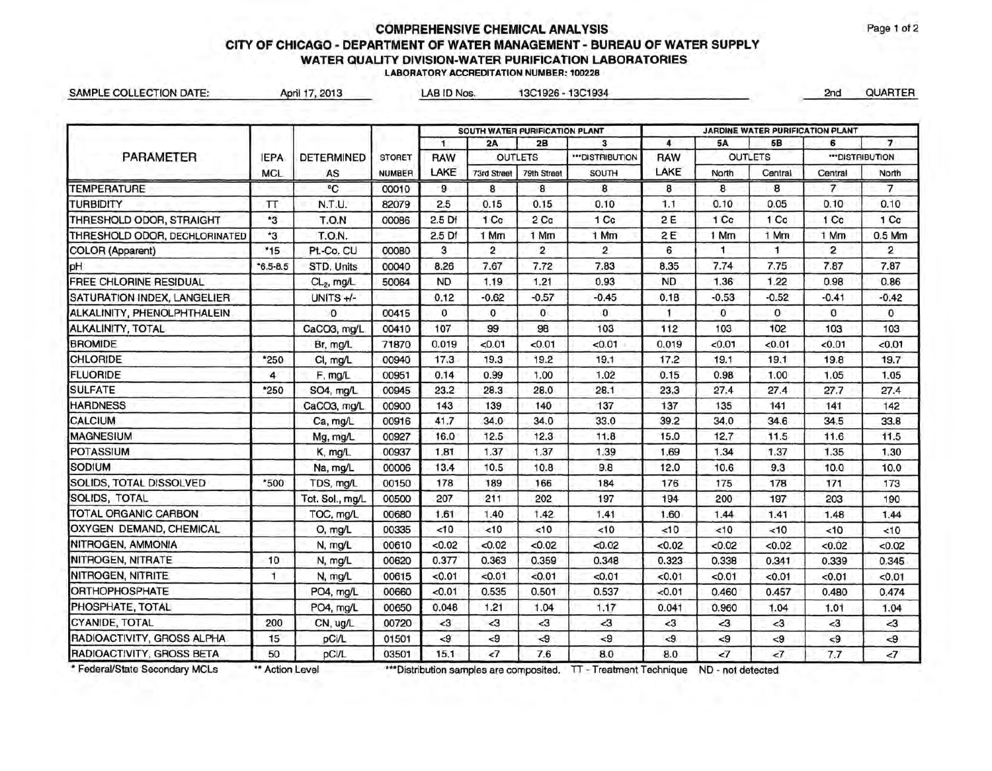|                                   |              |                        |               |              |                | SOUTH WATER PURIFICATION PLANT |                  |                |                      | JARDINE WATER PURIFICATION PLANT |                |                          |
|-----------------------------------|--------------|------------------------|---------------|--------------|----------------|--------------------------------|------------------|----------------|----------------------|----------------------------------|----------------|--------------------------|
|                                   |              |                        |               | $\mathbf{1}$ | 2A             | 2B                             | $\mathbf{3}$     | 4              | 5A                   | 5B                               | 6              | $\overline{\phantom{a}}$ |
| <b>PARAMETER</b>                  | <b>IEPA</b>  | <b>DETERMINED</b>      | <b>STORET</b> | <b>RAW</b>   | <b>OUTLETS</b> |                                | *** DISTRIBUTION | <b>RAW</b>     | <b>OUTLETS</b>       |                                  | "DISTRIBUTION  |                          |
|                                   | <b>MCL</b>   | AS                     | <b>NUMBER</b> | LAKE         | 73rd Street    | 79th Street                    | SOUTH            | LAKE           | North                | Central                          | Central        | North                    |
| <b>TEMPERATURE</b>                |              | °C                     | 00010         | 9            | 8              | 8                              | 8                | 8              | 8                    | 8                                | $\tau$         | $\overline{7}$           |
| <b>TURBIDITY</b>                  | π            | N.T.U.                 | 82079         | 2.5          | 0.15           | 0.15                           | 0.10             | 1.1            | 0.10                 | 0.05                             | 0.10           | 0.10                     |
| THRESHOLD ODOR, STRAIGHT          | *3           | T.O.N                  | 00086         | 2.5 Df       | 1 Cc           | 2 Cc                           | 1 Cc             | 2E             | 1 Cc                 | 1 Cc                             | 1 Cc           | 1 Cc                     |
| THRESHOLD ODOR, DECHLORINATED     | $*_{3}$      | T.O.N.                 |               | 2.5 Df       | 1 Mm           | 1 Mm                           | 1 Mm             | 2E             | 1 Mm                 | 1 Mm                             | 1 Mm           | 0.5 Mm                   |
| COLOR (Apparent)                  | *15          | Pt.-Co. CU             | 00080         | 3            | $\overline{c}$ | $\overline{2}$                 | $\overline{2}$   | 6              | $\ddot{\phantom{1}}$ | $\mathbf{1}$                     | $\overline{2}$ | $\overline{2}$           |
| pH                                | $*6.5 - 8.5$ | STD. Units             | 00040         | 8.26         | 7.67           | 7.72                           | 7.83             | 8.35           | 7.74                 | 7.75                             | 7.87           | 7.87                     |
| FREE CHLORINE RESIDUAL            |              | CL <sub>2</sub> , mg/L | 50064         | <b>ND</b>    | 1.19           | 1.21                           | 0.93             | <b>ND</b>      | 1.36                 | 1.22                             | 0.98           | 0.86                     |
| SATURATION INDEX, LANGELIER       |              | UNITS $+/-$            |               | 0.12         | $-0.62$        | $-0.57$                        | $-0.45$          | 0.18           | $-0.53$              | $-0.52$                          | $-0.41$        | $-0.42$                  |
| ALKALINITY, PHENOLPHTHALEIN       |              | $\Omega$               | 00415         | $\mathbf 0$  | $\mathbf 0$    | $\mathbf 0$                    | 0                | $\blacksquare$ | $\bf{0}$             | $\mathbf 0$                      | 0              | $\mathbf{0}$             |
| ALKALINITY, TOTAL                 |              | CaCO3, mg/L            | 00410         | 107          | 99             | 98                             | 103              | 112            | 103                  | 102                              | 103            | 103                      |
| <b>BROMIDE</b>                    |              | Br, mg/L               | 71870         | 0.019        | < 0.01         | < 0.01                         | < 0.01           | 0.019          | < 0.01               | < 0.01                           | < 0.01         | < 0.01                   |
| <b>CHLORIDE</b>                   | *250         | CI, mg/L               | 00940         | 17.3         | 19.3           | 19.2                           | 19.1             | 17.2           | 19.1                 | 19.1                             | 19.8           | 19.7                     |
| <b>FLUORIDE</b>                   | $\ddot{4}$   | $F$ , mg/L             | 00951         | 0.14         | 0.99           | 1.00                           | 1.02             | 0.15           | 0.98                 | 1.00                             | 1.05           | 1.05                     |
| <b>SULFATE</b>                    | *250         | SO4, mg/L              | 00945         | 23.2         | 28.3           | 28.0                           | 28.1             | 23.3           | 27.4                 | 27.4                             | 27.7           | 27.4                     |
| <b>HARDNESS</b>                   |              | CaCO3, mg/L            | 00900         | 143          | 139            | 140                            | 137              | 137            | 135                  | 141                              | 141            | 142                      |
| <b>CALCIUM</b>                    |              | Ca, mg/L               | 00916         | 41.7         | 34.0           | 34.0                           | 33.0             | 39.2           | 34.0                 | 34.6                             | 34.5           | 33.8                     |
| <b>MAGNESIUM</b>                  |              | Mg, mg/L               | 00927         | 16.0         | 12.5           | 12.3                           | 11.8             | 15.0           | 12.7                 | 11.5                             | 11.6           | 11.5                     |
| <b>POTASSIUM</b>                  |              | K, mg/L                | 00937         | 1.81         | 1.37           | 1.37                           | 1.39             | 1.69           | 1.34                 | 1.37                             | 1.35           | 1.30                     |
| SODIUM                            |              | Na, mg/L               | 00006         | 13.4         | 10.5           | 10.8                           | 9.8              | 12.0           | 10.6                 | 9.3                              | 10.0           | 10.0                     |
| SOLIDS, TOTAL DISSOLVED           | *500         | TDS, mg/L              | 00150         | 178          | 189            | 166                            | 184              | 176            | 175                  | 178                              | 171            | 173                      |
| SOLIDS, TOTAL                     |              | Tot. Sol., mg/L        | 00500         | 207          | 211            | 202                            | 197              | 194            | 200                  | 197                              | 203            | 190                      |
| TOTAL ORGANIC CARBON              |              | TOC, mg/L              | 00680         | 1.61         | 1.40           | 1.42                           | 1.41             | 1.60           | 1.44                 | 1.41                             | 1.48           | 1.44                     |
| OXYGEN DEMAND, CHEMICAL           |              | O, mg/L                | 00335         | <10          | <10            | <10                            | <10              | 10             | <10                  | <10                              | <10            | <10                      |
| NITROGEN, AMMONIA                 |              | N, mg/L                | 00610         | < 0.02       | <0.02          | < 0.02                         | < 0.02           | < 0.02         | <0.02                | < 0.02                           | <0.02          | <0.02                    |
| NITROGEN, NITRATE                 | 10           | N, mg/L                | 00620         | 0.377        | 0.363          | 0.359                          | 0.348            | 0.323          | 0.338                | 0.341                            | 0.339          | 0.345                    |
| NITROGEN, NITRITE                 | Ŧ.           | N, mg/L                | 00615         | < 0.01       | < 0.01         | < 0.01                         | < 0.01           | < 0.01         | < 0.01               | < 0.01                           | < 0.01         | < 0.01                   |
| <b>ORTHOPHOSPHATE</b>             |              | PO4, mg/L              | 00660         | < 0.01       | 0.535          | 0.501                          | 0.537            | < 0.01         | 0.460                | 0.457                            | 0.480          | 0.474                    |
| PHOSPHATE, TOTAL                  |              | PO4, mg/L              | 00650         | 0.048        | 1.21           | 1.04                           | 1.17             | 0.041          | 0.960                | 1.04                             | 1.01           | 1.04                     |
| <b>CYANIDE, TOTAL</b>             | 200          | CN, ug/L               | 00720         | $3$          | $\leq$ 3       | $3$                            | $3$              | $3$            | $\leq$ 3             | $3$                              | <3             | $3$                      |
| <b>RADIOACTIVITY, GROSS ALPHA</b> | 15           | <b>pCi/L</b>           | 01501         | $\leq 9$     | $5 - 9$        | $\leq$                         | < 9              | $\leq$ 9       | $\leq 9$             | < 9                              | < 9            | $\leq 9$                 |
| <b>RADIOACTIVITY, GROSS BETA</b>  | 50           | pCi/L                  | 03501         | 15.1         | $\epsilon$ 7   | 7.6                            | 8.0              | 8.0            | $\leq$               | $\leq$ 7                         | 7.7            | $\leq 7$                 |

SAMPLE COLLECTION DATE

\* Federal/State Secondary MCLs \*\* Action Level \*\*\* Distribution samples are composited. TT - Treatment Technique ND - not detected

AU APTER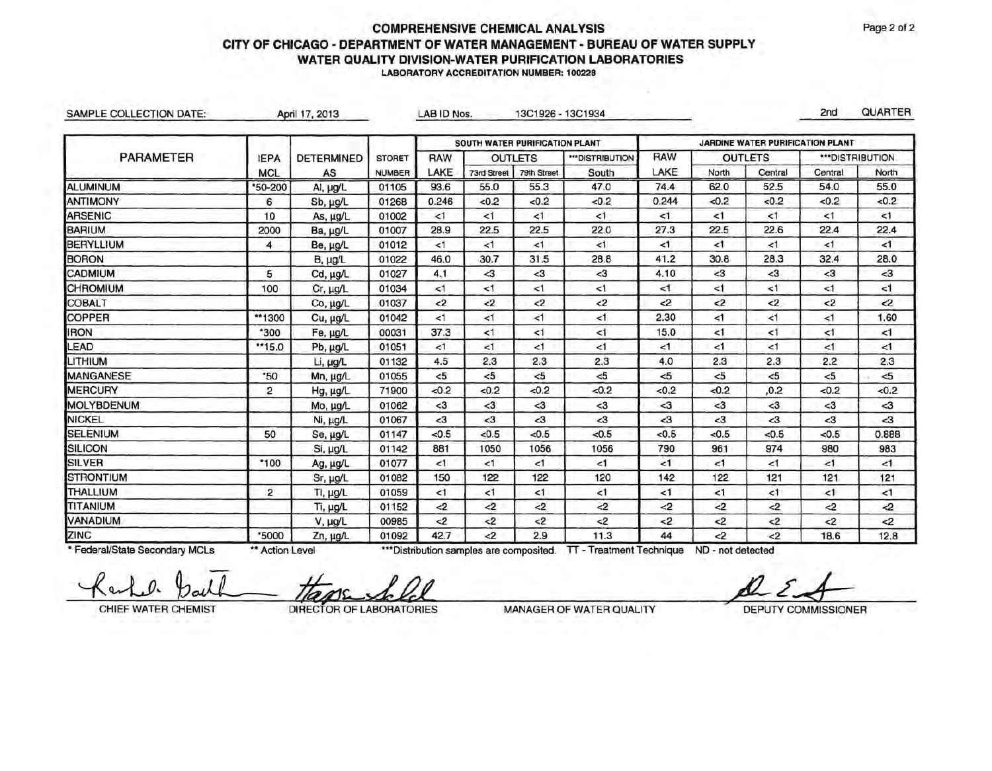| SAMPLE COLLECTION DATE: |                | April 17, 2013    |               | LAB ID Nos. |                                | 13C1926 - 13C1934 |                  |                                  | 2nd            | QUARTER  |          |                        |
|-------------------------|----------------|-------------------|---------------|-------------|--------------------------------|-------------------|------------------|----------------------------------|----------------|----------|----------|------------------------|
|                         |                |                   |               |             | SOUTH WATER PURIFICATION PLANT |                   |                  | JARDINE WATER PURIFICATION PLANT |                |          |          |                        |
| <b>PARAMETER</b>        | <b>IEPA</b>    | <b>DETERMINED</b> | <b>STORET</b> | <b>RAW</b>  | <b>OUTLETS</b>                 |                   | *** DISTRIBUTION | <b>RAW</b>                       | <b>OUTLETS</b> |          |          | *** DISTRIBUTION       |
|                         | <b>MCL</b>     | AS                | <b>NUMBER</b> | LAKE        | 73rd Street                    | 79th Street       | South            | LAKE                             | North          | Central  | Central  | North                  |
| ALUMINUM                | *50-200        | Al, µg/L          | 01105         | 93.6        | 55.0                           | 55.3              | 47.0             | 74.4                             | 62.0           | 52.5     | 54.0     | 55.0                   |
| <b>ANTIMONY</b>         | 6              | Sb, µg/L          | 01268         | 0.246       | < 0.2                          | < 0.2             | < 0.2            | 0.244                            | < 0.2          | <0.2     | <0.2     | < 0.2                  |
| <b>ARSENIC</b>          | 10             | As, $\mu g/L$     | 01002         | $\leq 1$    | $\leq 1$                       | <1                | $\leq 1$         | <1                               | <1             | <1       | <1       | <1                     |
| <b>BARIUM</b>           | 2000           | Ba, µg/L          | 01007         | 28.9        | 22.5                           | 22.5              | 22.0             | 27.3                             | 22.5           | 22.6     | 22.4     | 22.4                   |
| <b>BERYLLIUM</b>        | 4              | Be, µg/L          | 01012         | <1          | <1                             | $\leq 1$          | <1               | $\leq$ 1                         | <1             | <1       | $\leq 1$ | $\leq$ 1               |
| <b>BORON</b>            |                | B, µg/L           | 01022         | 46.0        | 30.7                           | 31.5              | 28.8             | 41.2                             | 30.8           | 28.3     | 32.4     | 28.0                   |
| <b>CADMIUM</b>          | 5              | Cd, µg/L          | 01027         | 4.1         | $\triangleleft$                | <3                | $3$              | 4.10                             | $3$            | <3       | $3$      | $3$                    |
| <b>CHROMIUM</b>         | 100            | Cr, µg/L          | 01034         | $\leq$ 1    | $\leq$ 1                       | $\leq 1$          | $\leq 1$         | $\leq$                           | $\leq$         | $\leq 1$ | $\leq$ 1 | $\leq 1$               |
| <b>COBALT</b>           |                | Co, µg/L          | 01037         | $\leq$      | $2$                            | <2                | $\leq$           | $\leq$                           | $2$            | $\leq$   | <2       | $\langle$ <sub>2</sub> |
| <b>COPPER</b>           | **1300         | Cu, µg/L          | 01042         | <1          | <1                             | $\leq 1$          | $\leq$           | 2.30                             | $\leq 1$       | $\leq 1$ | $\leq$   | 1.60                   |
| <b>IRON</b>             | $*300$         | Fe, µg/L          | 00031         | 37.3        | < 1                            | $\leq 1$          | $\leq 1$         | 15.0                             | <1             | <1       | $\leq$ 1 | <1                     |
| LEAD                    | $*15.0$        | Pb, µg/L          | 01051         | $\leq$ 1    | <1                             | $\leq$ 1          | <1               | $\leq$ 1                         | $\leq 1$       | <1       | <1       | <1                     |
| LITHIUM                 |                | Li, µg/L          | 01132         | 4.5         | 2.3                            | 2.3               | 2.3              | 4.0                              | 2.3            | 2.3      | 2.2      | 2.3                    |
| <b>MANGANESE</b>        | *50            | Mn, µg/L          | 01055         | < 5         | $<$ 5                          | $5 -$             | $5 -$            | <5                               | $<$ 5          | < 5      | $<$ 5    | < 5                    |
| <b>MERCURY</b>          | 2              | $Hg, \mu g/L$     | 71900         | <0.2        | <0.2                           | < 0.2             | < 0.2            | < 0.2                            | < 0.2          | ,0.2     | < 0.2    | <0.2                   |
| <b>MOLYBDENUM</b>       |                | Mo, µg/L          | 01062         | $3$         | $3$                            | $3$               | $\leq$ 3         | $3$                              | $3$            | <3       | $3$      | $3$                    |
| <b>NICKEL</b>           |                | Ni, µg/L          | 01067         | $\leq$ 3    | <3                             | $\leq$ 3          | $\leq$ 3         | $3$                              | $3$            | $3$      | <3       | $3$                    |
| <b>SELENIUM</b>         | 50             | Se, µg/L          | 01147         | < 0.5       | < 0.5                          | < 0.5             | < 0.5            | < 0.5                            | < 0.5          | < 0.5    | < 0.5    | 0.888                  |
| <b>SILICON</b>          |                | Si, µg/L          | 01142         | 881         | 1050                           | 1056              | 1056             | 790                              | 961            | 974      | 980      | 983                    |
| <b>SILVER</b>           | *100           | Ag, µg/L          | 01077         | $\leq 1$    | $\leq$ 1                       | $\leq$            | < 1              | < 1                              | <1             | $\leq 1$ | <1       | <1                     |
| <b>STRONTIUM</b>        |                | Sr, µg/L          | 01082         | 150         | 122                            | 122               | 120              | 142                              | 122            | 121      | 121      | 121                    |
| <b>THALLIUM</b>         | $\overline{2}$ | TI, µg/L          | 01059         | $\leq$ 1    | $\leq 1$                       | $\leq$ 1          | ا>               | < 1                              | <1             | < 1      | <1       | $\leq$ 1               |
| TITANIUM                |                | Ti, µg/L          | 01152         | $\leq$      | $\langle 2$                    | $\leq$            | <2               | $\leq$                           | $2$            | $\leq$   | $2$      | $\leq$                 |
| VANADIUM                |                | V, µg/L           | 00985         | $\leq$      | $\leq$                         | $\leq$            | $\leq$           | $2$                              | $\leq$         | $\leq$   | $2$      | $\leq$                 |
| ZINC                    | *5000          | Zn, µg/L          | 01092         | 42.7        | $2$                            | 2.9               | 11.3             | 44                               | $2$            | $2$      | 18.6     | 12.8                   |

\* Federal/State Secondary MCLs

\*\* Action Level \*\*\* Distribution samples are composited. TT - Treatment Technique ND - not detected

CHIEF WATER CHEMIST

DIRECTOR OF LABORATORIES MANAGER OF WATER QUALITY DEPUTY COMMISSIONER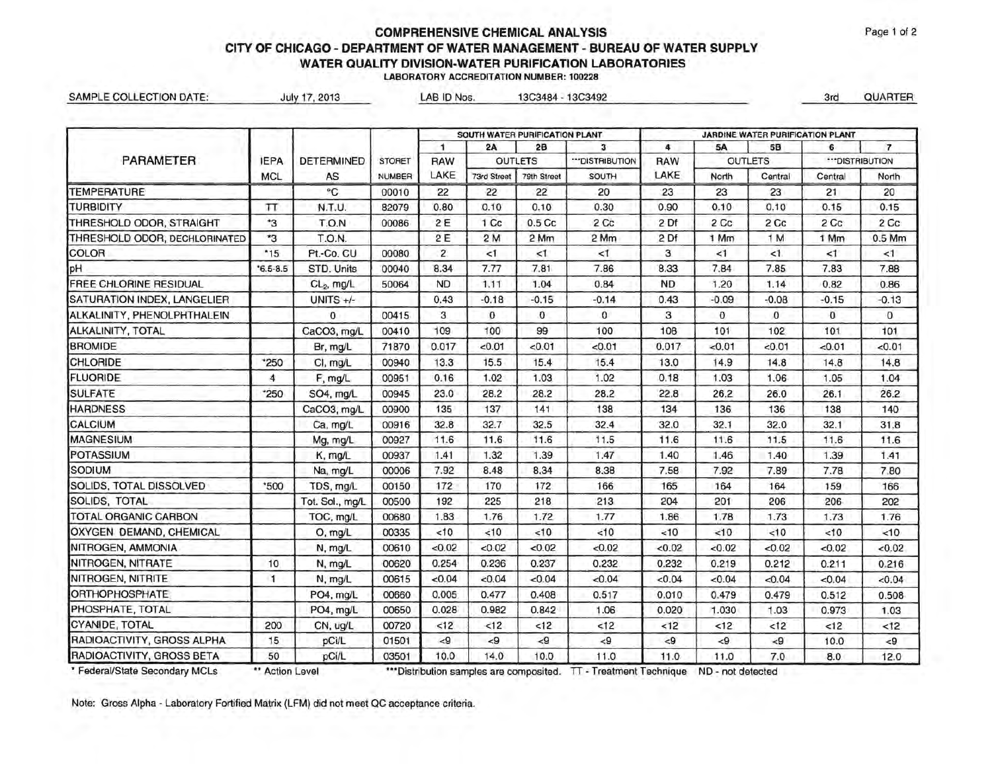| <b>SAMPLE COLLECTION DATE:</b>   |             | July 17, 2013          |               | LAB ID Nos.    |                                | 13C3484 - 13C3492 |                 |            |                                  |             | 3rd              | <b>QUARTER</b> |  |  |
|----------------------------------|-------------|------------------------|---------------|----------------|--------------------------------|-------------------|-----------------|------------|----------------------------------|-------------|------------------|----------------|--|--|
|                                  |             |                        |               |                | SOUTH WATER PURIFICATION PLANT |                   |                 |            | JARDINE WATER PURIFICATION PLANT |             |                  |                |  |  |
|                                  |             |                        |               | $\mathbf{1}$   | 2A                             | 2B                | 3               | 4          | <b>5A</b>                        | 58          | 6                | $\overline{7}$ |  |  |
| <b>PARAMETER</b>                 | <b>IEPA</b> | <b>DETERMINED</b>      | <b>STORET</b> | <b>RAW</b>     |                                | <b>OUTLETS</b>    | "DISTRIBUTION   | <b>RAW</b> | <b>OUTLETS</b>                   |             | *** DISTRIBUTION |                |  |  |
|                                  | <b>MCL</b>  | AS                     | NUMBER        | LAKE           | 73rd Street                    | 79th Street       | SOUTH           | LAKE       | North                            | Central     | Central          | North          |  |  |
| <b>TEMPERATURE</b>               |             | °C                     | 00010         | 22             | 22                             | 22                | 20              | 23         | 23                               | 23          | 21               | 20             |  |  |
| <b>TURBIDITY</b>                 | $\pi$       | N.T.U.                 | 82079         | 0.80           | 0.10                           | 0.10              | 0.30            | 0.90       | 0.10                             | 0.10        | 0.15             | 0.15           |  |  |
| THRESHOLD ODOR, STRAIGHT         | *3          | T.O.N                  | 00086         | 2E             | 1 Cc                           | 0.5 <sub>cc</sub> | 2 <sub>Cc</sub> | 2 Df       | 2 Cc                             | 2 Cc        | 2 Cc             | 2 <sub>C</sub> |  |  |
| THRESHOLD ODOR, DECHLORINATED    | *3          | T.O.N.                 |               | 2E             | 2M                             | 2 Mm              | 2 Mm            | 2Df        | 1 Mm                             | 1M          | 1 Mm             | 0.5 Mm         |  |  |
| <b>COLOR</b>                     | *15         | Pt.-Co. CU             | 00080         | $\overline{2}$ | < 1                            | <1                | <1              | 3          | <1                               | <1          | <1               | <1             |  |  |
| pH                               | $6.5 - 8.5$ | STD. Units             | 00040         | 8.34           | 7.77                           | 7.81              | 7.86            | 8.33       | 7.84                             | 7.85        | 7.83             | 7.88           |  |  |
| FREE CHLORINE RESIDUAL           |             | CL <sub>2</sub> , mg/L | 50064         | <b>ND</b>      | 1.11                           | 1.04              | 0.84            | <b>ND</b>  | 1.20                             | 1.14        | 0.82             | 0.86           |  |  |
| SATURATION INDEX, LANGELIER      |             | UNITS $+/-$            |               | 0.43           | $-0.18$                        | $-0.15$           | $-0.14$         | 0.43       | $-0.09$                          | $-0.08$     | $-0.15$          | $-0.13$        |  |  |
| ALKALINITY, PHENOLPHTHALEIN      |             | $\mathbf{0}$           | 00415         | 3              | $\mathbf{0}$                   | $\mathbf 0$       | $^{\circ}$      | 3          | $\mathbf 0$                      | $\mathbf 0$ | 0                | $\Omega$       |  |  |
| ALKALINITY, TOTAL                |             | CaCO3, mg/L            | 00410         | 109            | 100                            | 99                | 100             | 108        | 101                              | 102         | 101              | 101            |  |  |
| <b>BROMIDE</b>                   |             | Br, mg/L               | 71870         | 0.017          | < 0.01                         | < 0.01            | < 0.01          | 0.017      | < 0.01                           | <0.01       | < 0.01           | < 0.01         |  |  |
| <b>CHLORIDE</b>                  | $*250$      | CI, mg/L               | 00940         | 13.3           | 15.5                           | 15.4              | 15.4            | 13.0       | 14.9                             | 14.8        | 14.8             | 14.8           |  |  |
| <b>FLUORIDE</b>                  | 4           | F, mg/L                | 00951         | 0.16           | 1.02                           | 1.03              | 1.02            | 0.18       | 1.03                             | 1.06        | 1.05             | 1.04           |  |  |
| <b>SULFATE</b>                   | $*250$      | SO4, mg/L              | 00945         | 23.0           | 28.2                           | 28.2              | 28.2            | 22.8       | 26.2                             | 26.0        | 26.1             | 26.2           |  |  |
| <b>HARDNESS</b>                  |             | CaCO3, mg/L            | 00900         | 135            | 137                            | 141               | 138             | 134        | 136                              | 136         | 138              | 140            |  |  |
| <b>CALCIUM</b>                   |             | Ca, mg/L               | 00916         | 32.8           | 32.7                           | 32.5              | 32.4            | 32.0       | 32.1                             | 32.0        | 32.1             | 31.8           |  |  |
| <b>MAGNESIUM</b>                 |             | Mg, mg/L               | 00927         | 11.6           | 11.6                           | 11.6              | 11.5            | 11.6       | 11.6                             | 11.5        | 11.6             | 11.6           |  |  |
| <b>POTASSIUM</b>                 |             | K, mg/L                | 00937         | 1.41           | 1.32                           | 1.39              | 1.47            | 1.40       | 1.46                             | 1.40        | 1.39             | 1.41           |  |  |
| SODIUM                           |             | Na, mg/L               | 00006         | 7.92           | 8.48                           | 8.34              | 8.38            | 7.58       | 7.92                             | 7.89        | 7.78             | 7.80           |  |  |
| SOLIDS, TOTAL DISSOLVED          | *500        | TDS, mg/L              | 00150         | 172            | 170                            | 172               | 166             | 165        | 164                              | 164         | 159              | 166            |  |  |
| SOLIDS, TOTAL                    |             | Tot. Sol., mg/L        | 00500         | 192            | 225                            | 218               | 213             | 204        | 201                              | 206         | 206              | 202            |  |  |
| <b>TOTAL ORGANIC CARBON</b>      |             | TOC, mg/L              | 00680         | 1.83           | 1.76                           | 1.72              | 1.77            | 1.86       | 1.78                             | 1.73        | 1.73             | 1.76           |  |  |
| OXYGEN DEMAND, CHEMICAL          |             | O, mg/L                | 00335         | <10            | <10                            | <10               | <10             | <10        | <10                              | < 10        | <10              | <10            |  |  |
| NITROGEN, AMMONIA                |             | N, mg/L                | 00610         | <0.02          | <0.02                          | <0.02             | <0.02           | < 0.02     | < 0.02                           | < 0.02      | < 0.02           | <0.02          |  |  |
| NITROGEN, NITRATE                | 10          | N, mg/L                | 00620         | 0.254          | 0.236                          | 0.237             | 0.232           | 0.232      | 0.219                            | 0.212       | 0.211            | 0.216          |  |  |
| NITROGEN, NITRITE                | 1           | N, mg/L                | 00615         | <0.04          | <0.04                          | <0.04             | < 0.04          | < 0.04     | < 0.04                           | < 0.04      | < 0.04           | < 0.04         |  |  |
| <b>ORTHOPHOSPHATE</b>            |             | PO4, mg/L              | 00660         | 0.005          | 0.477                          | 0.408             | 0.517           | 0.010      | 0.479                            | 0.479       | 0.512            | 0.508          |  |  |
| PHOSPHATE, TOTAL                 |             | PO4, mg/L              | 00650         | 0.028          | 0.982                          | 0.842             | 1.06            | 0.020      | 1.030                            | 1.03        | 0.973            | 1.03           |  |  |
| CYANIDE, TOTAL                   | 200         | CN, ug/L               | 00720         | <12            | < 12                           | < 12              | < 12            | < 12       | < 12                             | $<$ 12      | <12              | <12            |  |  |
| RADIOACTIVITY, GROSS ALPHA       | 15          | pCi/L                  | 01501         | < 9            | $\leq$ 9                       | $\leq 9$          | < 9             | $5 -$      | $\leq$ 9                         | < 9         | 10.0             | < 9            |  |  |
| <b>RADIOACTIVITY, GROSS BETA</b> | 50          | pCi/L                  | 03501         | 10.0           | 14.0                           | 10.0              | 11.0            | 11.0       | 11.0                             | 7.0         | 8.0              | 12.0           |  |  |

\* Federal/State Secondary MCLs \*\*\* Action Level \*\*\*\*\*Distribution samples are composited. TT - Treatment Technique ND - not detected

Note: Gross Alpha - Laboratory Fortified Matrix (LFM) did not meet QC acceptance criteria.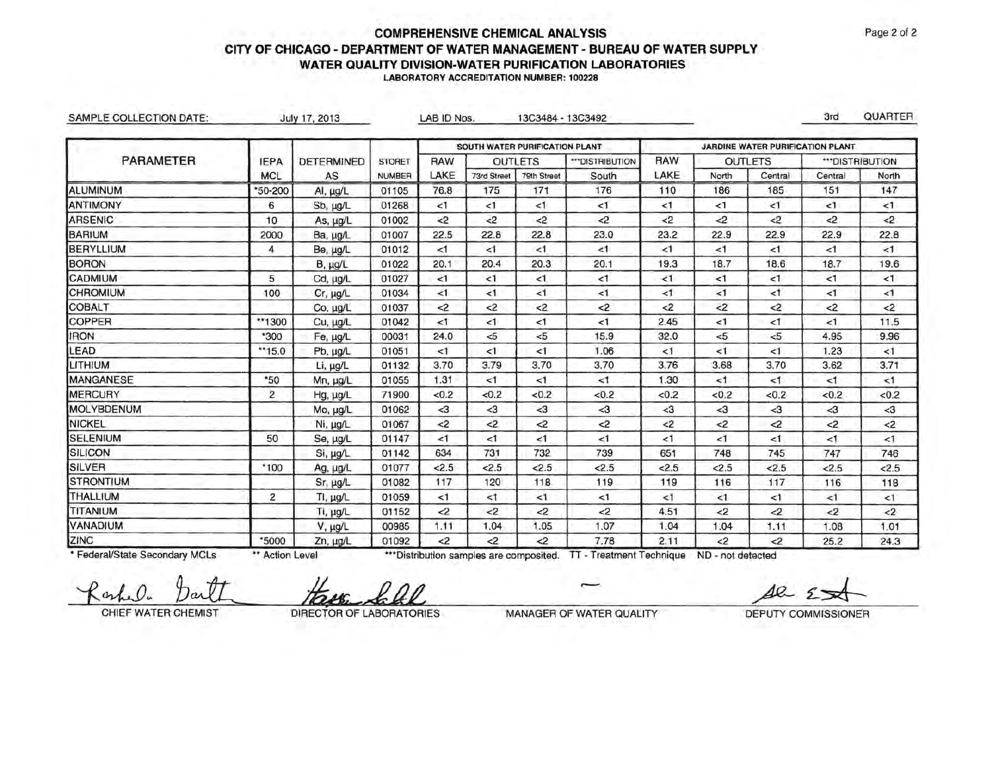| SAMPLE COLLECTION DATE: |                | July 17, 2013     |               | LAB ID Nos. |                                | 13C3484 - 13C3492 |                  |             |                |                                  | 3rd         | QUARTER         |
|-------------------------|----------------|-------------------|---------------|-------------|--------------------------------|-------------------|------------------|-------------|----------------|----------------------------------|-------------|-----------------|
|                         |                |                   |               |             | SOUTH WATER PURIFICATION PLANT |                   |                  |             |                | JARDINE WATER PURIFICATION PLANT |             |                 |
| <b>PARAMETER</b>        | <b>IEPA</b>    | <b>DETERMINED</b> | <b>STORET</b> | <b>RAW</b>  | <b>OUTLETS</b>                 |                   | *** DISTRIBUTION | <b>RAW</b>  | <b>OUTLETS</b> |                                  |             | ***DISTRIBUTION |
|                         | MCL            | AS                | <b>NUMBER</b> | LAKE        | 73rd Street                    | 79th Street       | South            | LAKE        | North          | Central                          | Central     | North           |
| ALUMINUM                | *50-200        | Al, µg/L          | 01105         | 76.8        | 175                            | 171               | 176              | 110         | 186            | 185                              | 151         | 147             |
| ANTIMONY                | 6              | Sb, µg/L          | 01268         | $\leq 1$    | $\leq 1$                       | <1                | $\leq 1$         | $\leq$ 1    | <1             | <1                               | $\leq$ 1    | $\leq$ 1        |
| <b>ARSENIC</b>          | 10             | As, µg/L          | 01002         | $\langle$ 2 | $\leq$                         | <2                | <2               | <2          | $\langle 2$    | <2                               | $2$         | $2$             |
| <b>BARIUM</b>           | 2000           | Ba, µg/L          | 01007         | 22.5        | 22.8                           | 22.8              | 23.0             | 23.2        | 22.9           | 22.9                             | 22.9        | 22.8            |
| <b>BERYLLIUM</b>        | $\overline{4}$ | Be, µg/L          | 01012         | $\leq$ 1    | $\leq$                         | $\leq$ 1          | <1               | <1          | $\leq 1$       | <1                               | <1          | <1              |
| <b>BORON</b>            |                | $B, \mu g/L$      | 01022         | 20.1        | 20.4                           | 20.3              | 20.1             | 19.3        | 18.7           | 18.6                             | 18.7        | 19.6            |
| <b>CADMIUM</b>          | 5              | Cd, µg/L          | 01027         | <1          | <1                             | $\leq$            | $\leq$ 1         | $\leq 1$    | $\leq$ 1       | <1                               | <1          | $\leq 1$        |
| <b>CHROMIUM</b>         | 100            | Cr, µg/L          | 01034         | <1          | $\leq 1$                       | $\leq 1$          | $\leq 1$         | <1          | $\leq 1$       | $\leq$                           | $\leq 1$    | $\leq 1$        |
| <b>COBALT</b>           |                | Co, µg/L          | 01037         | $2$         | $2$                            | <2                | <2               | $2$         | $<$ 2          | $2$                              | <2          | $2$             |
| <b>COPPER</b>           | **1300         | Cu, µg/L          | 01042         | $\leq$ 1    | $\leq$                         | $\leq$            | $\leq$ 1         | 2.45        | $\leq 1$       | $\leq$ 1                         | $\leq 1$    | 11.5            |
| <b>IRON</b>             | *300           | Fe, µg/L          | 00031         | 24.0        | <5                             | < 5               | 15.9             | 32.0        | <5             | < 5                              | 4.95        | 9.96            |
| LEAD                    | ** 15.0        | Pb, µg/L          | 01051         | <1          | $\leq$ 1                       | $\leq$            | 1.06             | <1          | $\leq 1$       | $\leq$ 1                         | 1.23        | <1              |
| LITHIUM                 |                | $Li, \mu g/L$     | 01132         | 3.70        | 3.79                           | 3.70              | 3.70             | 3.76        | 3.68           | 3.70                             | 3.62        | 3.71            |
| <b>MANGANESE</b>        | *50            | Mn, µg/L          | 01055         | 1.31        | <1                             | $\leq$ 1          | $\leq 1$         | 1.30        | <1             | $\leq$ 1                         | $\leq$ 1    | <1              |
| <b>MERCURY</b>          | $\overline{2}$ | $Hg, \mu g/L$     | 71900         | < 0.2       | <0.2                           | <0.2              | < 0.2            | < 0.2       | < 0.2          | <0.2                             | < 0.2       | < 0.2           |
| <b>MOLYBDENUM</b>       |                | Mo, µg/L          | 01062         | $3$         | $\leq$ 3                       | <3                | $3$              | $3$         | <3             | $3$                              | <3          | $3$             |
| NICKEL                  |                | Ni, µg/L          | 01067         | $2$         | $\leq$                         | $\langle 2$       | $\langle$ 2      | $\langle 2$ | $2$            | $\leq$                           | $\langle$ 2 | $2$             |
| <b>SELENIUM</b>         | 50             | Se, µg/L          | 01147         | <1          | <1                             | $\leq 1$          | $\leq 1$         | $\leq 1$    | $\leq$ 1       | $\leq 1$                         | $\leq$      | <1              |
| SILICON                 |                | Si, µg/L          | 01142         | 634         | 731                            | 732               | 739              | 651         | 748            | 745                              | 747         | 746             |
| <b>SILVER</b>           | *100           | Ag, µg/L          | 01077         | 2.5         | 2.5                            | 2.5               | 2.5              | < 2.5       | 2.5            | 2.5                              | < 2.5       | 2.5             |
| <b>STRONTIUM</b>        |                | Sr, µg/L          | 01082         | 117         | 120                            | 118               | 119              | 119         | 116            | 117                              | 116         | 118             |
| <b>THALLIUM</b>         | $\overline{2}$ | TI, µg/L          | 01059         | $\leq 1$    | $5 - 7$                        | <1                | <1               | <1          | <1             | <1                               | <1          | <1              |
| <b>TITANIUM</b>         |                | Ti, µg/L          | 01152         | $2$         | $\leq$                         | $2$               | $2$              | 4.51        | $\langle 2$    | $\leq$                           | $2$         | $2$             |
| <b>VANADIUM</b>         |                | V, µg/L           | 00985         | 1.11        | 1.04                           | 1.05              | 1.07             | 1.04        | 1.04           | 1.11                             | 1.08        | 1.01            |
| ZINC                    | *5000          | $Zn, \mu g/L$     | 01092         | $2$         | $\leq$                         | $\leq$            | 7.78             | 2.11        | &2             | $2$                              | 25.2        | 24.3            |

• Federal/State Secondary MCLs

\*\* Action Level \*\*\*\*\*Distribution samples are composited. TT - Treatment Technique ND - not detected

CHIEF WATER CHEMIST

DIRECTOR OF LABORATORIES MANAGER OF WATER QUALITY DEPUTY COMMISSIONER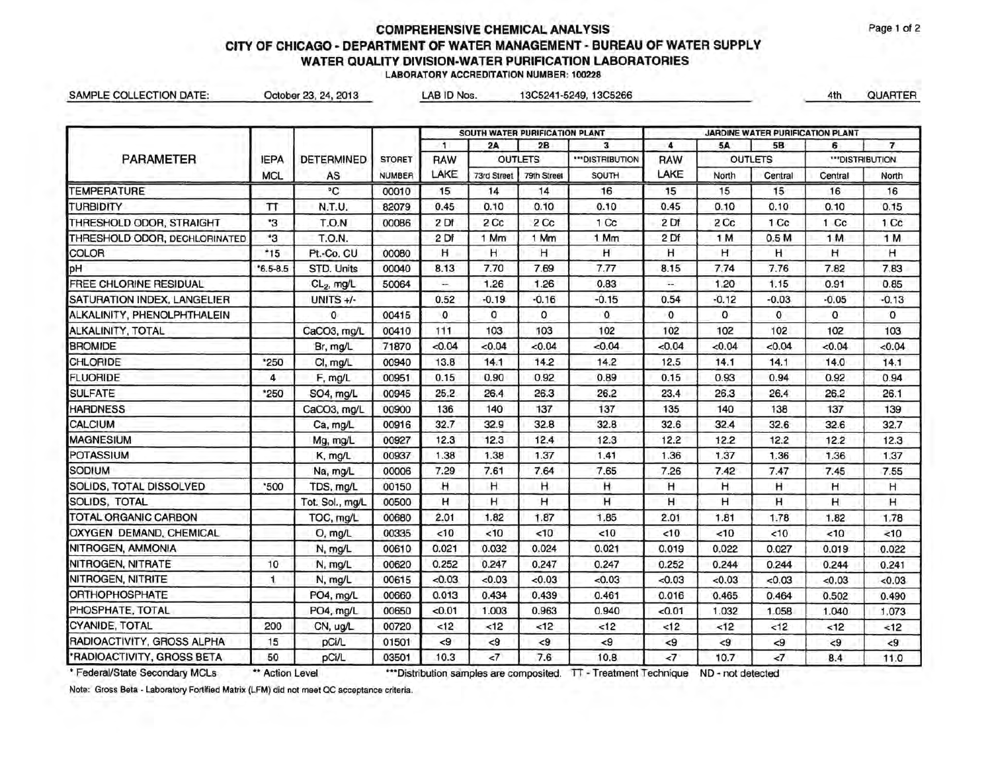a tha a 1. Thu

|                                |              |                        |               |              | SOUTH WATER PURIFICATION PLANT |             |                  |            |                | JARDINE WATER PURIFICATION PLANT |                |                |
|--------------------------------|--------------|------------------------|---------------|--------------|--------------------------------|-------------|------------------|------------|----------------|----------------------------------|----------------|----------------|
|                                |              |                        |               | $\mathbf{1}$ | 2B<br>2A<br><b>OUTLETS</b>     |             | $\mathbf{3}$     | 4          | <b>5A</b>      | 5B                               | 6              | $\overline{7}$ |
| <b>PARAMETER</b>               | <b>IEPA</b>  | <b>DETERMINED</b>      | <b>STORET</b> | <b>RAW</b>   |                                |             | *** DISTRIBUTION | <b>RAW</b> | <b>OUTLETS</b> |                                  | "DISTRIBUTION. |                |
|                                | <b>MCL</b>   | AS                     | <b>NUMBER</b> | LAKE         | 73rd Street                    | 79th Street | <b>SOUTH</b>     | LAKE       | North          | Central                          | Central        | North          |
| <b>TEMPERATURE</b>             |              | $^{\circ}C$            | 00010         | 15           | 14                             | 14          | 16               | 15         | 15             | 15                               | 16             | 16             |
| <b>TURBIDITY</b>               | π            | N.T.U.                 | 82079         | 0.45         | 0.10                           | 0.10        | 0.10             | 0.45       | 0.10           | 0.10                             | 0.10           | 0.15           |
| THRESHOLD ODOR, STRAIGHT       | *3           | T.O.N                  | 00086         | 2Df          | 2 Cc                           | 2 Cc        | 1 Cc             | 2Df        | 2 Cc           | 1 Cc                             | $1$ Cc         | 1 Cc           |
| THRESHOLD ODOR, DECHLORINATED  | $^*3$        | T.O.N.                 |               | 2Df          | 1 Mm                           | 1 Mm        | 1 Mm             | 2 Df       | 1 M            | 0.5M                             | 1 M            | 1 M            |
| <b>COLOR</b>                   | $*15$        | Pt.-Co. CU             | 00080         | н            | H                              | н           | н                | H          | H.             | н                                | н              | н              |
| pH                             | $*6.5 - 8.5$ | STD. Units             | 00040         | 8.13         | 7.70                           | 7.69        | 7.77             | 8.15       | 7.74           | 7.76                             | 7.82           | 7.83           |
| FREE CHLORINE RESIDUAL         |              | CL <sub>2</sub> , mg/L | 50064         | н.           | 1.26                           | 1.26        | 0.83             | н.         | 1.20           | 1.15                             | 0.91           | 0.85           |
| SATURATION INDEX, LANGELIER    |              | UNITS $+/-$            |               | 0.52         | $-0.19$                        | $-0.16$     | $-0.15$          | 0.54       | $-0.12$        | $-0.03$                          | $-0.05$        | $-0.13$        |
| ALKALINITY, PHENOLPHTHALEIN    |              | $\Omega$               | 00415         | $\mathbf 0$  | $\alpha$                       | $\Omega$    | $\Omega$         | $\Omega$   | $\mathbf{0}$   | $\mathbf{0}$                     | $^{\circ}$     | $\mathbf{0}$   |
| ALKALINITY, TOTAL              |              | CaCO3, mg/L            | 00410         | 111          | 103                            | 103         | 102              | 102        | 102            | 102                              | 102            | 103            |
| <b>BROMIDE</b>                 |              | Br, mg/L               | 71870         | < 0.04       | < 0.04                         | < 0.04      | < 0.04           | <0.04      | <0.04          | < 0.04                           | < 0.04         | < 0.04         |
| <b>CHLORIDE</b>                | *250         | CI, mg/L               | 00940         | 13.8         | 14.1                           | 14.2        | 14.2             | 12.5       | 14.1           | 14.1                             | 14.0           | 14.1           |
| <b>FLUORIDE</b>                | 4            | F, mg/L                | 00951         | 0.15         | 0.90                           | 0.92        | 0.89             | 0.15       | 0.93           | 0.94                             | 0.92           | 0.94           |
| <b>SULFATE</b>                 | *250         | SO4, mg/L              | 00945         | 25.2         | 26.4                           | 26.3        | 26.2             | 23.4       | 26.3           | 26.4                             | 26.2           | 26.1           |
| <b>HARDNESS</b>                |              | CaCO3, mg/L            | 00900         | 136          | 140                            | 137         | 137              | 135        | 140            | 138                              | 137            | 139            |
| <b>CALCIUM</b>                 |              | Ca, mg/L               | 00916         | 32.7         | 32.9                           | 32.8        | 32.8             | 32.6       | 32.4           | 32.6                             | 32.6           | 32.7           |
| <b>MAGNESIUM</b>               |              | Mg, mg/L               | 00927         | 12.3         | 12.3                           | 12.4        | 12.3             | 12.2       | 12.2           | 12.2                             | 12.2           | 12.3           |
| <b>POTASSIUM</b>               |              | K, mg/L                | 00937         | 1.38         | 1.38                           | 1.37        | 1.41             | 1.36       | 1.37           | 1.36                             | 1.36           | 1.37           |
| SODIUM                         |              | Na, mg/L               | 00006         | 7.29         | 7.61                           | 7.64        | 7.65             | 7.26       | 7.42           | 7.47                             | 7.45           | 7.55           |
| <b>SOLIDS, TOTAL DISSOLVED</b> | *500         | TDS, mg/L              | 00150         | н            | H                              | н           | н                | н          | н              | н                                | н              | H.             |
| <b>SOLIDS, TOTAL</b>           |              | Tot. Sol., mg/L        | 00500         | н            | н                              | н           | н                | н          | н              | н                                | н              | н              |
| <b>TOTAL ORGANIC CARBON</b>    |              | TOC, mg/L              | 00680         | 2.01         | 1.82                           | 1.87        | 1.85             | 2.01       | 1.81           | 1.78                             | 1.82           | 1.78           |
| OXYGEN DEMAND, CHEMICAL        |              | O, mg/L                | 00335         | <10          | <10                            | <10         | <10              | <10        | < 10           | <10                              | < 10           | <10            |
| NITROGEN, AMMONIA              |              | N, mg/L                | 00610         | 0.021        | 0.032                          | 0.024       | 0.021            | 0.019      | 0.022          | 0.027                            | 0.019          | 0.022          |
| NITROGEN, NITRATE              | 10           | N, mg/L                | 00620         | 0.252        | 0.247                          | 0.247       | 0.247            | 0.252      | 0.244          | 0.244                            | 0.244          | 0.241          |
| NITROGEN, NITRITE              | 1.           | N, mg/L                | 00615         | <0.03        | < 0.03                         | <0.03       | <0.03            | < 0.03     | <0.03          | < 0.03                           | <0.03          | <0.03          |
| <b>ORTHOPHOSPHATE</b>          |              | PO4, mg/L              | 00660         | 0.013        | 0.434                          | 0.439       | 0.461            | 0.016      | 0.465          | 0.464                            | 0.502          | 0.490          |
| PHOSPHATE, TOTAL               |              | PO4, mg/L              | 00650         | <0.01        | 1.003                          | 0.963       | 0.940            | < 0.01     | 1.032          | 1.058                            | 1.040          | 1.073          |
| <b>CYANIDE, TOTAL</b>          | 200          | CN, ug/L               | 00720         | < 12         | 12                             | <12         | < 12             | < 12       | < 12           | <12                              | < 12           | <12            |
| RADIOACTIVITY, GROSS ALPHA     | 15           | pCi/L                  | 01501         | $\leq$       | $\leq$                         | $\leq$      | $\leq 9$         | < 9        | $\leq 9$       | $\epsilon$ 9                     | $\leq 9$       | $5 -$          |
| *RADIOACTIVITY, GROSS BETA     | 50           | <b>pCi/L</b>           | 03501         | 10.3         | $\leq 7$                       | 7.6         | 10.8             | $\leq 7$   | 10.7           | $\leq$                           | 8.4            | 11.0           |

\* Federal/State Secondary MCLs \*\* Action Level \*\*\*Distribution samples are composited. TT - Treatment Technique ND - not detected

Note: Gross Beta - Laboratory Fortified Matrix (LFM) did not meet QC acceptance criteria.